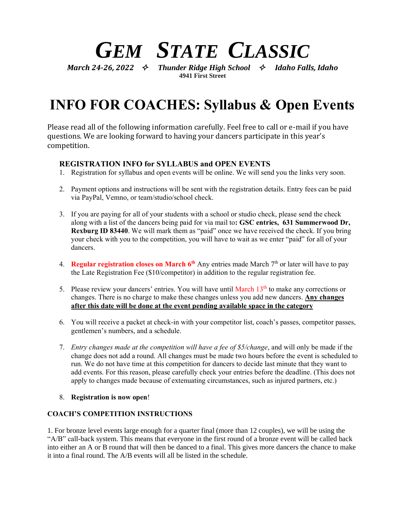# *GEM STATE CLASSIC*

*March 24-26, 2022 Thunder Ridge High School Idaho Falls, Idaho* **4941 First Street**

# **INFO FOR COACHES: Syllabus & Open Events**

Please read all of the following information carefully. Feel free to call or e-mail if you have questions. We are looking forward to having your dancers participate in this year's competition.

## **REGISTRATION INFO for SYLLABUS and OPEN EVENTS**

- 1. Registration for syllabus and open events will be online. We will send you the links very soon.
- 2. Payment options and instructions will be sent with the registration details. Entry fees can be paid via PayPal, Vemno, or team/studio/school check.
- 3. If you are paying for all of your students with a school or studio check, please send the check along with a list of the dancers being paid for via mail to**: GSC entries, 631 Summerwood Dr, Rexburg ID 83440**. We will mark them as "paid" once we have received the check. If you bring your check with you to the competition, you will have to wait as we enter "paid" for all of your dancers.
- 4. **Regular registration closes on March 6<sup>th</sup> Any entries made March 7<sup>th</sup> or later will have to pay** the Late Registration Fee (\$10/competitor) in addition to the regular registration fee.
- 5. Please review your dancers' entries. You will have until March  $13<sup>th</sup>$  to make any corrections or changes. There is no charge to make these changes unless you add new dancers. **Any changes after this date will be done at the event pending available space in the category**
- 6. You will receive a packet at check-in with your competitor list, coach's passes, competitor passes, gentlemen's numbers, and a schedule.
- 7. *Entry changes made at the competition will have a fee of \$5/change*, and will only be made if the change does not add a round. All changes must be made two hours before the event is scheduled to run. We do not have time at this competition for dancers to decide last minute that they want to add events. For this reason, please carefully check your entries before the deadline. (This does not apply to changes made because of extenuating circumstances, such as injured partners, etc.)
- 8. **Registration is now open**!

### **COACH'S COMPETITION INSTRUCTIONS**

1. For bronze level events large enough for a quarter final (more than 12 couples), we will be using the "A/B" call-back system. This means that everyone in the first round of a bronze event will be called back into either an A or B round that will then be danced to a final. This gives more dancers the chance to make it into a final round. The A/B events will all be listed in the schedule.